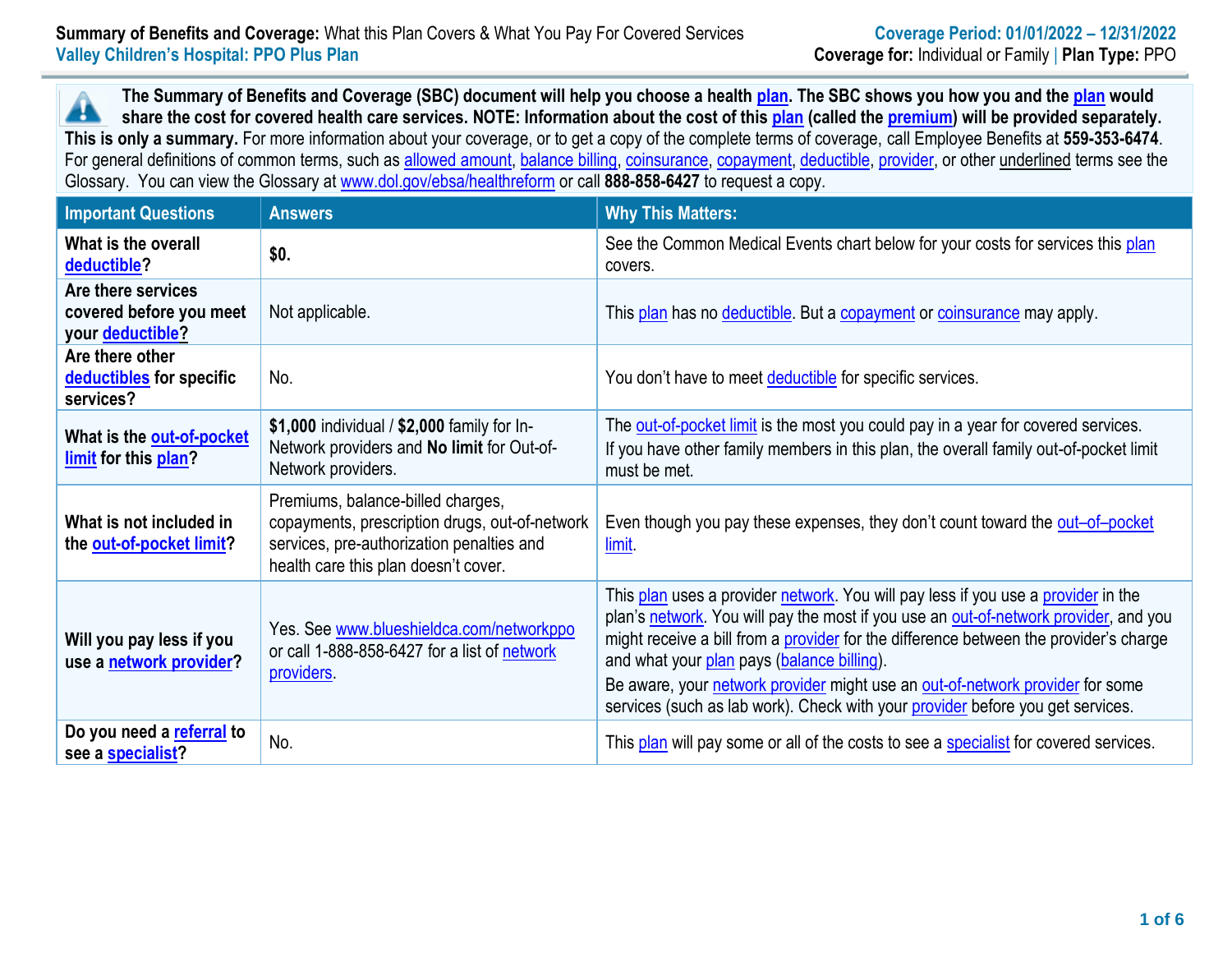**The Summary of Benefits and Coverage (SBC) document will help you choose a health [plan.](https://www.healthcare.gov/sbc-glossary/#plan) The SBC shows you how you and the [plan](https://www.healthcare.gov/sbc-glossary/#plan) would** Æ **share the cost for covered health care services. NOTE: Information about the cost of this [plan](https://www.healthcare.gov/sbc-glossary/#plan) (called the [premium\)](https://www.healthcare.gov/sbc-glossary/#premium) will be provided separately. This is only a summary.** For more information about your coverage, or to get a copy of the complete terms of coverage, call Employee Benefits at **559-353-6474**. For general definitions of common terms, such as [allowed amount,](https://www.healthcare.gov/sbc-glossary/#allowed-amount) [balance billing,](https://www.healthcare.gov/sbc-glossary/#balance-billing) [coinsurance,](https://www.healthcare.gov/sbc-glossary/#coinsurance) [copayment,](https://www.healthcare.gov/sbc-glossary/#copayment) [deductible,](https://www.healthcare.gov/sbc-glossary/#deductible) [provider,](https://www.healthcare.gov/sbc-glossary/#provider) or other underlined terms see the Glossary. You can view the Glossary at [www.dol.gov/ebsa/healthreform](file:///C:/Users/jmccormick/Users$/EMends/www.dol.gov/ebsa/healthreform) or call **888-858-6427** to request a copy.

| <b>Important Questions</b>                                        | <b>Answers</b>                                                                                                                                                           | <b>Why This Matters:</b>                                                                                                                                                                                                                                                                                                                                                                                                                                                            |
|-------------------------------------------------------------------|--------------------------------------------------------------------------------------------------------------------------------------------------------------------------|-------------------------------------------------------------------------------------------------------------------------------------------------------------------------------------------------------------------------------------------------------------------------------------------------------------------------------------------------------------------------------------------------------------------------------------------------------------------------------------|
| What is the overall<br>deductible?                                | \$0.                                                                                                                                                                     | See the Common Medical Events chart below for your costs for services this plan<br>covers.                                                                                                                                                                                                                                                                                                                                                                                          |
| Are there services<br>covered before you meet<br>your deductible? | Not applicable.                                                                                                                                                          | This plan has no deductible. But a copayment or coinsurance may apply.                                                                                                                                                                                                                                                                                                                                                                                                              |
| Are there other<br>deductibles for specific<br>services?          | No.                                                                                                                                                                      | You don't have to meet deductible for specific services.                                                                                                                                                                                                                                                                                                                                                                                                                            |
| What is the out-of-pocket<br>limit for this plan?                 | \$1,000 individual / \$2,000 family for In-<br>Network providers and No limit for Out-of-<br>Network providers.                                                          | The out-of-pocket limit is the most you could pay in a year for covered services.<br>If you have other family members in this plan, the overall family out-of-pocket limit<br>must be met.                                                                                                                                                                                                                                                                                          |
| What is not included in<br>the out-of-pocket limit?               | Premiums, balance-billed charges,<br>copayments, prescription drugs, out-of-network<br>services, pre-authorization penalties and<br>health care this plan doesn't cover. | Even though you pay these expenses, they don't count toward the out-of-pocket<br>limit.                                                                                                                                                                                                                                                                                                                                                                                             |
| Will you pay less if you<br>use a network provider?               | Yes. See www.blueshieldca.com/networkppo<br>or call 1-888-858-6427 for a list of network<br>providers.                                                                   | This plan uses a provider network. You will pay less if you use a provider in the<br>plan's network. You will pay the most if you use an out-of-network provider, and you<br>might receive a bill from a provider for the difference between the provider's charge<br>and what your plan pays (balance billing).<br>Be aware, your network provider might use an out-of-network provider for some<br>services (such as lab work). Check with your provider before you get services. |
| Do you need a referral to<br>see a specialist?                    | No.                                                                                                                                                                      | This plan will pay some or all of the costs to see a specialist for covered services.                                                                                                                                                                                                                                                                                                                                                                                               |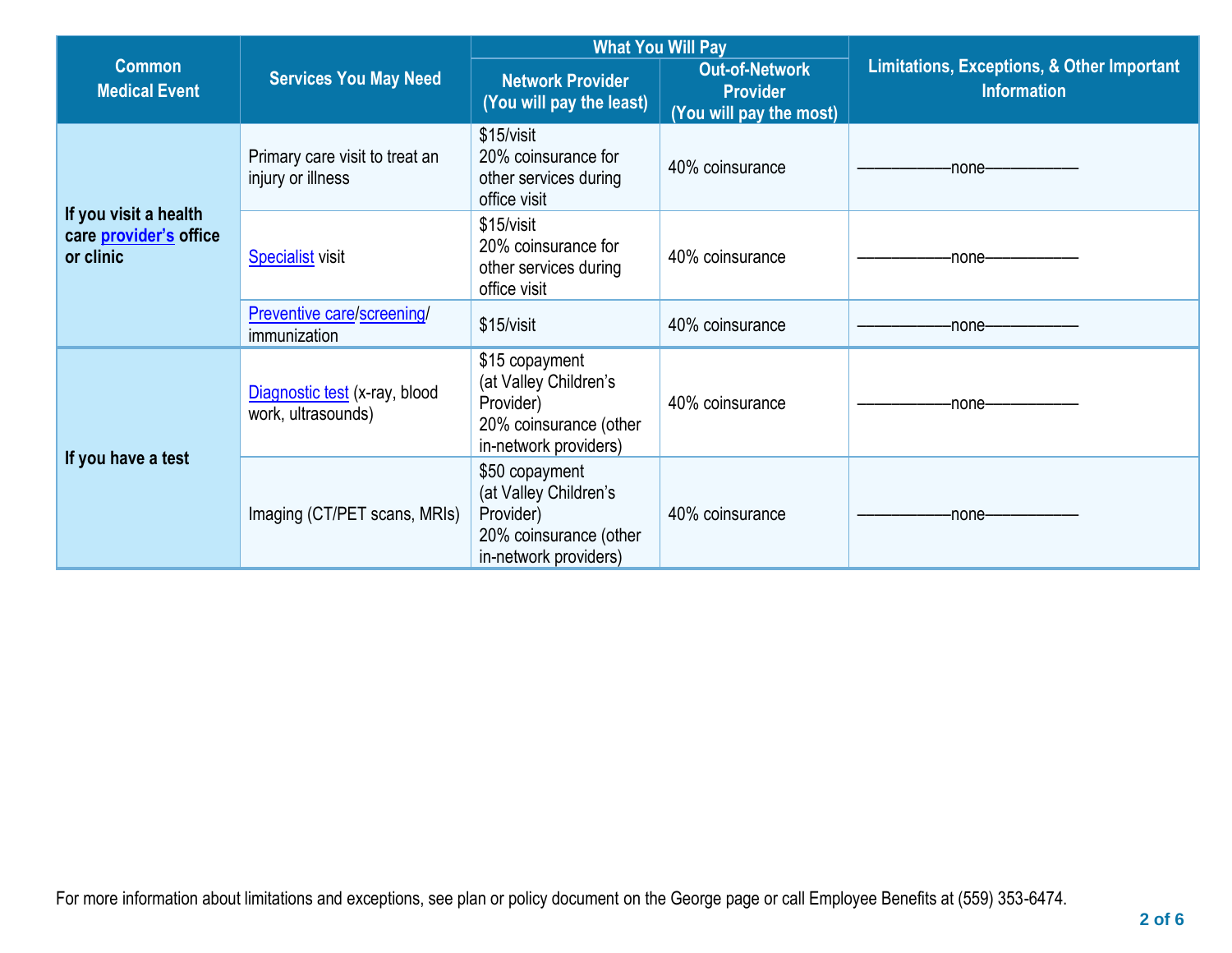|                                                              | <b>Services You May Need</b>                        | <b>What You Will Pay</b>                                                                                |                                                              |                                                                             |
|--------------------------------------------------------------|-----------------------------------------------------|---------------------------------------------------------------------------------------------------------|--------------------------------------------------------------|-----------------------------------------------------------------------------|
| <b>Common</b><br><b>Medical Event</b>                        |                                                     | <b>Network Provider</b><br>(You will pay the least)                                                     | Out-of-Network<br><b>Provider</b><br>(You will pay the most) | <b>Limitations, Exceptions, &amp; Other Important</b><br><b>Information</b> |
| If you visit a health<br>care provider's office<br>or clinic | Primary care visit to treat an<br>injury or illness | \$15/visit<br>20% coinsurance for<br>other services during<br>office visit                              | 40% coinsurance                                              | -none-                                                                      |
|                                                              | <b>Specialist visit</b>                             | \$15/visit<br>20% coinsurance for<br>other services during<br>office visit                              | 40% coinsurance                                              | -none-                                                                      |
|                                                              | Preventive care/screening/<br>immunization          | \$15/visit                                                                                              | 40% coinsurance                                              | -none-                                                                      |
| If you have a test                                           | Diagnostic test (x-ray, blood<br>work, ultrasounds) | \$15 copayment<br>(at Valley Children's<br>Provider)<br>20% coinsurance (other<br>in-network providers) | 40% coinsurance                                              | -none-                                                                      |
|                                                              | Imaging (CT/PET scans, MRIs)                        | \$50 copayment<br>(at Valley Children's<br>Provider)<br>20% coinsurance (other<br>in-network providers) | 40% coinsurance                                              | -none-                                                                      |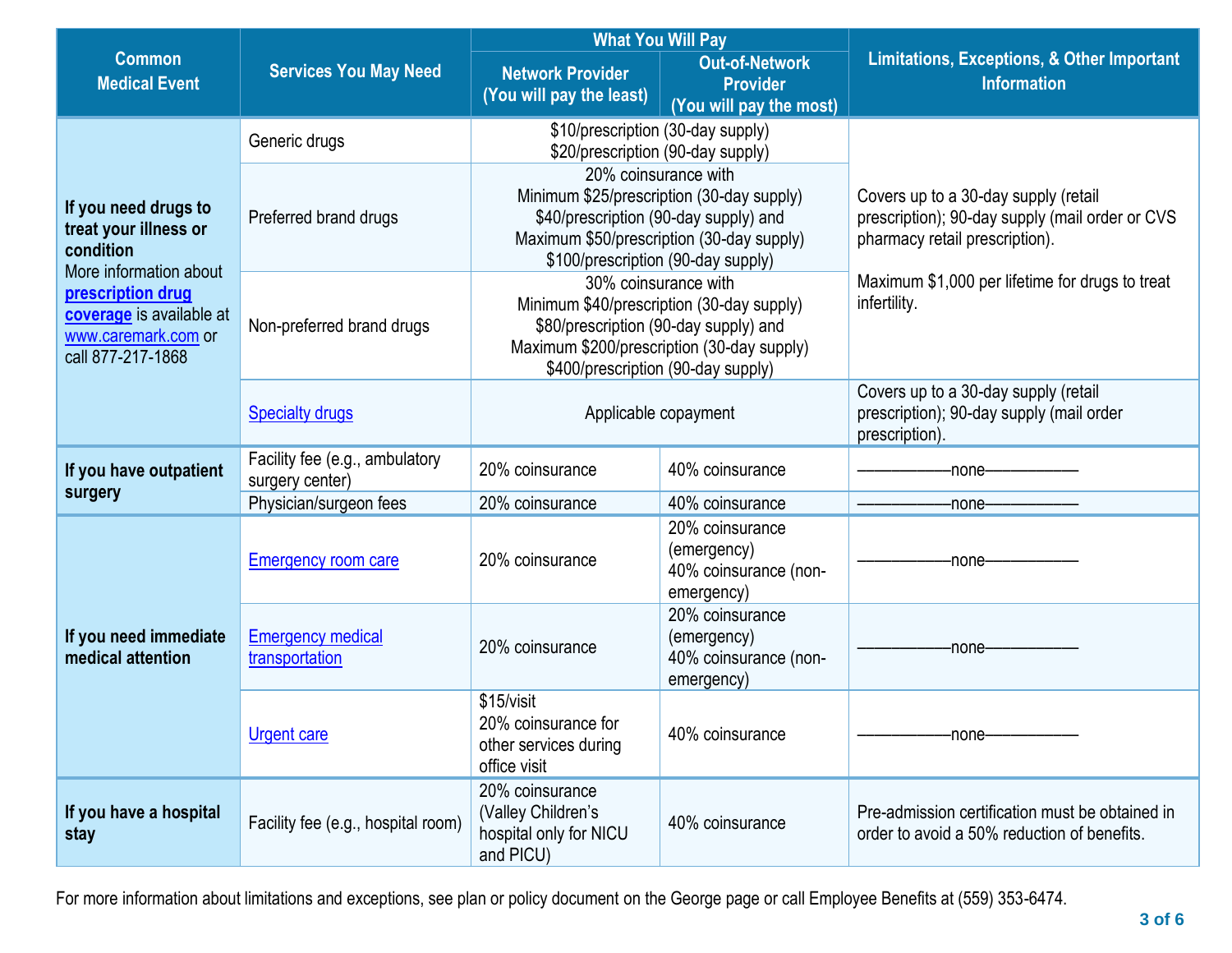|                                                                                                                     |                                                   | <b>What You Will Pay</b>                                                                                                                                                                       |                                                                       |                                                                                                                           |
|---------------------------------------------------------------------------------------------------------------------|---------------------------------------------------|------------------------------------------------------------------------------------------------------------------------------------------------------------------------------------------------|-----------------------------------------------------------------------|---------------------------------------------------------------------------------------------------------------------------|
| <b>Common</b><br><b>Medical Event</b>                                                                               | <b>Services You May Need</b>                      | <b>Network Provider</b><br>(You will pay the least)                                                                                                                                            | <b>Out-of-Network</b><br><b>Provider</b><br>(You will pay the most)   | <b>Limitations, Exceptions, &amp; Other Important</b><br><b>Information</b>                                               |
|                                                                                                                     | Generic drugs                                     | \$10/prescription (30-day supply)<br>\$20/prescription (90-day supply)                                                                                                                         |                                                                       |                                                                                                                           |
| If you need drugs to<br>treat your illness or<br>condition                                                          | Preferred brand drugs                             | 20% coinsurance with<br>Minimum \$25/prescription (30-day supply)<br>\$40/prescription (90-day supply) and<br>Maximum \$50/prescription (30-day supply)<br>\$100/prescription (90-day supply)  |                                                                       | Covers up to a 30-day supply (retail<br>prescription); 90-day supply (mail order or CVS<br>pharmacy retail prescription). |
| More information about<br>prescription drug<br>coverage is available at<br>www.caremark.com or<br>call 877-217-1868 | Non-preferred brand drugs                         | 30% coinsurance with<br>Minimum \$40/prescription (30-day supply)<br>\$80/prescription (90-day supply) and<br>Maximum \$200/prescription (30-day supply)<br>\$400/prescription (90-day supply) |                                                                       | Maximum \$1,000 per lifetime for drugs to treat<br>infertility.                                                           |
|                                                                                                                     | <b>Specialty drugs</b>                            | Applicable copayment                                                                                                                                                                           |                                                                       | Covers up to a 30-day supply (retail<br>prescription); 90-day supply (mail order<br>prescription).                        |
| If you have outpatient                                                                                              | Facility fee (e.g., ambulatory<br>surgery center) | 20% coinsurance                                                                                                                                                                                | 40% coinsurance                                                       | -none-                                                                                                                    |
| surgery                                                                                                             | Physician/surgeon fees                            | 20% coinsurance                                                                                                                                                                                | 40% coinsurance                                                       | -none-                                                                                                                    |
| If you need immediate<br>medical attention                                                                          | <b>Emergency room care</b>                        | 20% coinsurance                                                                                                                                                                                | 20% coinsurance<br>(emergency)<br>40% coinsurance (non-<br>emergency) | -none-                                                                                                                    |
|                                                                                                                     | <b>Emergency medical</b><br>transportation        | 20% coinsurance                                                                                                                                                                                | 20% coinsurance<br>(emergency)<br>40% coinsurance (non-<br>emergency) | -none-                                                                                                                    |
|                                                                                                                     | <b>Urgent care</b>                                | \$15/visit<br>20% coinsurance for<br>other services during<br>office visit                                                                                                                     | 40% coinsurance                                                       | -none—                                                                                                                    |
| If you have a hospital<br>stay                                                                                      | Facility fee (e.g., hospital room)                | 20% coinsurance<br>(Valley Children's<br>hospital only for NICU<br>and PICU)                                                                                                                   | 40% coinsurance                                                       | Pre-admission certification must be obtained in<br>order to avoid a 50% reduction of benefits.                            |

For more information about limitations and exceptions, see plan or policy document on the George page or call Employee Benefits at (559) 353-6474.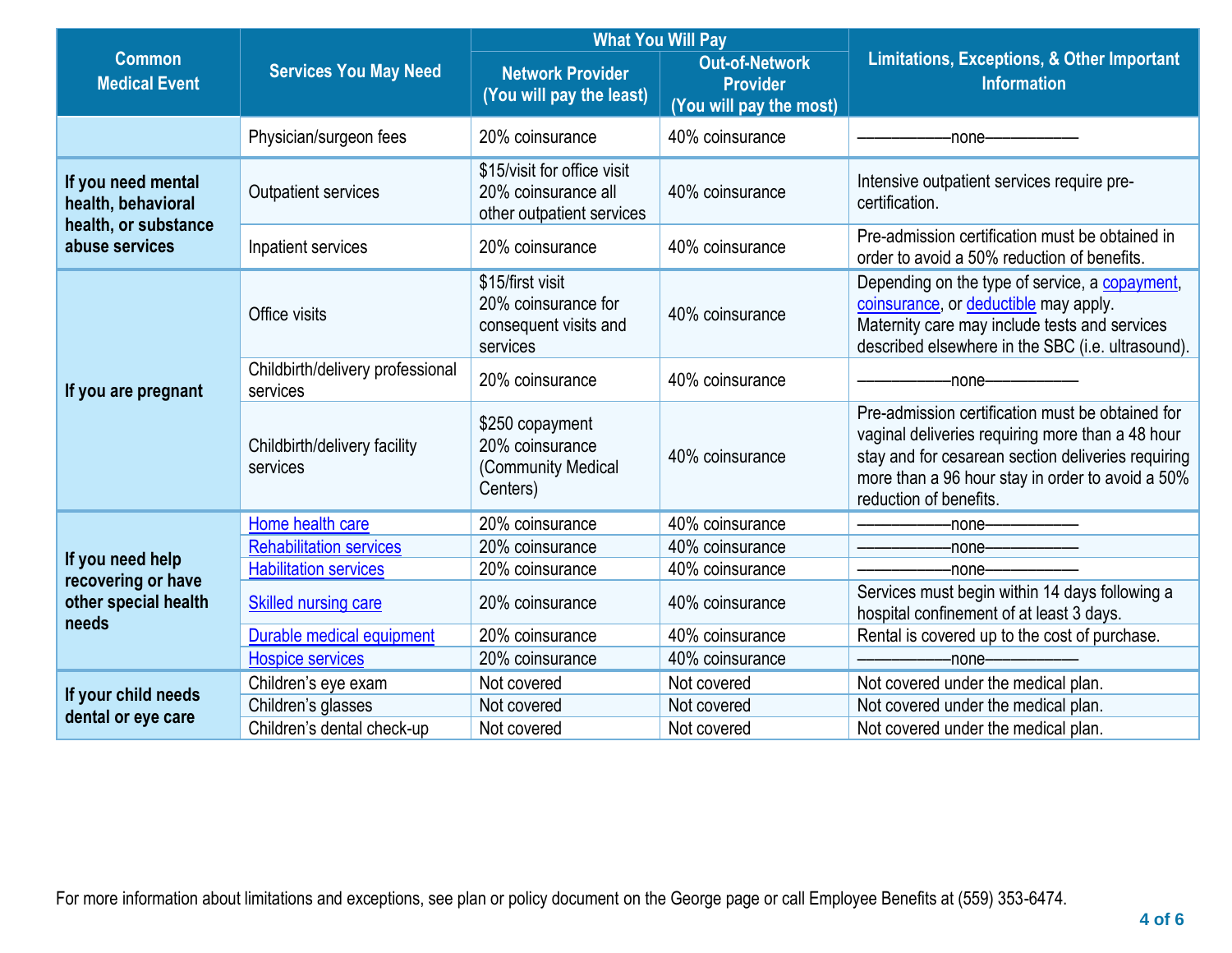|                                                                  |                                              | <b>What You Will Pay</b>                                                        |                                                                     |                                                                                                                                                                                                                                          |  |
|------------------------------------------------------------------|----------------------------------------------|---------------------------------------------------------------------------------|---------------------------------------------------------------------|------------------------------------------------------------------------------------------------------------------------------------------------------------------------------------------------------------------------------------------|--|
| <b>Common</b><br><b>Medical Event</b>                            | <b>Services You May Need</b>                 | <b>Network Provider</b><br>(You will pay the least)                             | <b>Out-of-Network</b><br><b>Provider</b><br>(You will pay the most) | <b>Limitations, Exceptions, &amp; Other Important</b><br><b>Information</b>                                                                                                                                                              |  |
|                                                                  | Physician/surgeon fees                       | 20% coinsurance                                                                 | 40% coinsurance                                                     | -none-                                                                                                                                                                                                                                   |  |
| If you need mental<br>health, behavioral<br>health, or substance | <b>Outpatient services</b>                   | \$15/visit for office visit<br>20% coinsurance all<br>other outpatient services | 40% coinsurance                                                     | Intensive outpatient services require pre-<br>certification.                                                                                                                                                                             |  |
| abuse services                                                   | Inpatient services                           | 20% coinsurance                                                                 | 40% coinsurance                                                     | Pre-admission certification must be obtained in<br>order to avoid a 50% reduction of benefits.                                                                                                                                           |  |
|                                                                  | Office visits                                | \$15/first visit<br>20% coinsurance for<br>consequent visits and<br>services    | 40% coinsurance                                                     | Depending on the type of service, a copayment,<br>coinsurance, or deductible may apply.<br>Maternity care may include tests and services<br>described elsewhere in the SBC (i.e. ultrasound).                                            |  |
| If you are pregnant                                              | Childbirth/delivery professional<br>services | 20% coinsurance                                                                 | 40% coinsurance                                                     | -none-                                                                                                                                                                                                                                   |  |
|                                                                  | Childbirth/delivery facility<br>services     | \$250 copayment<br>20% coinsurance<br>(Community Medical<br>Centers)            | 40% coinsurance                                                     | Pre-admission certification must be obtained for<br>vaginal deliveries requiring more than a 48 hour<br>stay and for cesarean section deliveries requiring<br>more than a 96 hour stay in order to avoid a 50%<br>reduction of benefits. |  |
|                                                                  | Home health care                             | 20% coinsurance                                                                 | 40% coinsurance                                                     | -none-                                                                                                                                                                                                                                   |  |
|                                                                  | <b>Rehabilitation services</b>               | 20% coinsurance                                                                 | 40% coinsurance                                                     | -none-                                                                                                                                                                                                                                   |  |
| If you need help<br>recovering or have                           | <b>Habilitation services</b>                 | 20% coinsurance                                                                 | 40% coinsurance                                                     | -none-                                                                                                                                                                                                                                   |  |
| other special health<br>needs                                    | <b>Skilled nursing care</b>                  | 20% coinsurance                                                                 | 40% coinsurance                                                     | Services must begin within 14 days following a<br>hospital confinement of at least 3 days.                                                                                                                                               |  |
|                                                                  | Durable medical equipment                    | 20% coinsurance                                                                 | 40% coinsurance                                                     | Rental is covered up to the cost of purchase.                                                                                                                                                                                            |  |
|                                                                  | <b>Hospice services</b>                      | 20% coinsurance                                                                 | 40% coinsurance                                                     | -none-                                                                                                                                                                                                                                   |  |
|                                                                  | Children's eye exam                          | Not covered                                                                     | Not covered                                                         | Not covered under the medical plan.                                                                                                                                                                                                      |  |
| If your child needs<br>dental or eye care                        | Children's glasses                           | Not covered                                                                     | Not covered                                                         | Not covered under the medical plan.                                                                                                                                                                                                      |  |
|                                                                  | Children's dental check-up                   | Not covered                                                                     | Not covered                                                         | Not covered under the medical plan.                                                                                                                                                                                                      |  |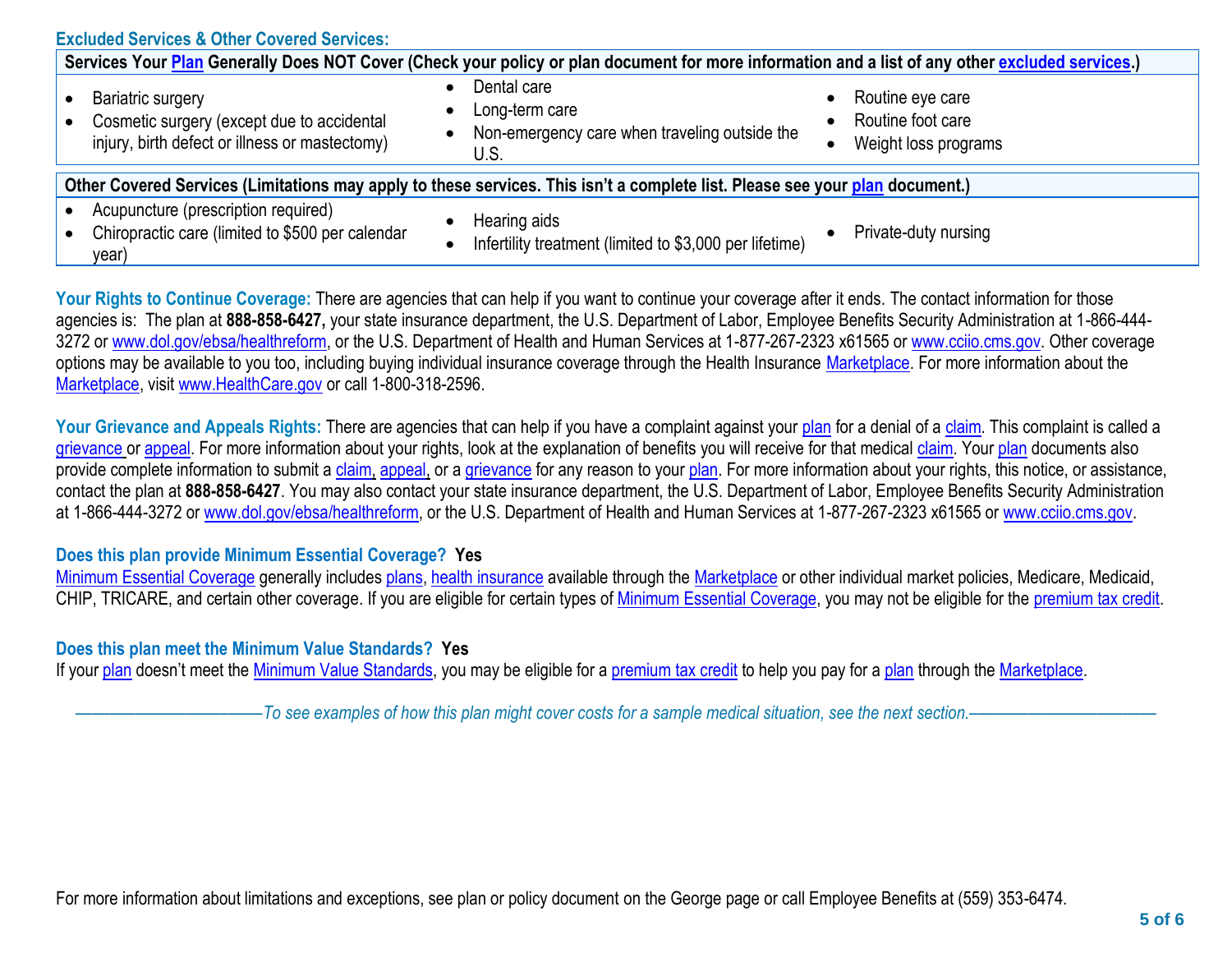| <b>Excluded Services &amp; Other Covered Services:</b>                                                                                           |                                                                                        |                                                                                         |  |  |
|--------------------------------------------------------------------------------------------------------------------------------------------------|----------------------------------------------------------------------------------------|-----------------------------------------------------------------------------------------|--|--|
| Services Your Plan Generally Does NOT Cover (Check your policy or plan document for more information and a list of any other excluded services.) |                                                                                        |                                                                                         |  |  |
| <b>Bariatric surgery</b><br>Cosmetic surgery (except due to accidental<br>injury, birth defect or illness or mastectomy)                         | Dental care<br>Long-term care<br>Non-emergency care when traveling outside the<br>U.S. | Routine eye care<br>$\bullet$<br>Routine foot care<br>Weight loss programs<br>$\bullet$ |  |  |
| Other Covered Services (Limitations may apply to these services. This isn't a complete list. Please see your plan document.)                     |                                                                                        |                                                                                         |  |  |
| Acupuncture (prescription required)<br>Chiropractic care (limited to \$500 per calendar<br>year)                                                 | Hearing aids<br>Infertility treatment (limited to \$3,000 per lifetime)                | Private-duty nursing                                                                    |  |  |

Your Rights to Continue Coverage: There are agencies that can help if you want to continue your coverage after it ends. The contact information for those agencies is: The plan at **888-858-6427,** your state insurance department, the U.S. Department of Labor, Employee Benefits Security Administration at 1-866-444 3272 or [www.dol.gov/ebsa/](http://www.dol.gov/ebsa)healthreform, or the U.S. Department of Health and Human Services at 1-877-267-2323 x61565 or [www.cciio.cms.gov.](http://www.cciio.cms.gov/) Other coverage options may be available to you too, including buying individual insurance coverage through the Health Insurance [Marketplace.](https://www.healthcare.gov/sbc-glossary/#marketplace) For more information about the [Marketplace,](https://www.healthcare.gov/sbc-glossary/#marketplace) visit [www.HealthCare.gov](http://www.healthcare.gov/) or call 1-800-318-2596.

Your Grievance and Appeals Rights: There are agencies that can help if you have a complaint against your [plan](https://www.healthcare.gov/sbc-glossary/#plan) for a denial of a [claim.](https://www.healthcare.gov/sbc-glossary/#claim) This complaint is called a [grievance](https://www.healthcare.gov/sbc-glossary/#grievance) or [appeal.](https://www.healthcare.gov/sbc-glossary/#appeal) For more information about your rights, look at the explanation of benefits you will receive for that medical [claim.](https://www.healthcare.gov/sbc-glossary/#claim) Your [plan](https://www.healthcare.gov/sbc-glossary/#plan) documents also provide complete information to submit a [claim,](https://www.healthcare.gov/sbc-glossary/#claim) [appeal,](https://www.healthcare.gov/sbc-glossary/#appeal) or a [grievance](https://www.healthcare.gov/sbc-glossary/#grievance) for any reason to your [plan.](https://www.healthcare.gov/sbc-glossary/#plan) For more information about your rights, this notice, or assistance, contact the plan at **888-858-6427**. You may also contact your state insurance department, the U.S. Department of Labor, Employee Benefits Security Administration at 1-866-444-3272 or [www.dol.gov/ebsa/](http://www.dol.gov/ebsa)healthreform, or the U.S. Department of Health and Human Services at 1-877-267-2323 x61565 or [www.cciio.cms.gov.](http://www.cciio.cms.gov/)

#### **Does this plan provide Minimum Essential Coverage? Yes**

[Minimum Essential Coverage](https://www.healthcare.gov/sbc-glossary/#minimum-essential-coverage) generally includes [plans,](https://www.healthcare.gov/sbc-glossary/#plan) [health insurance](https://www.healthcare.gov/sbc-glossary/#health-insurance) available through the [Marketplace](https://www.healthcare.gov/sbc-glossary/#marketplace) or other individual market policies, Medicare, Medicaid, CHIP, TRICARE, and certain other coverage. If you are eligible for certain types of [Minimum Essential Coverage,](https://www.healthcare.gov/sbc-glossary/#minimum-essential-coverage) you may not be eligible for the [premium tax credit.](https://www.healthcare.gov/sbc-glossary/#premium-tax-credits)

### **Does this plan meet the Minimum Value Standards? Yes**

If your [plan](https://www.healthcare.gov/sbc-glossary/#plan) doesn't meet the [Minimum Value Standards,](https://www.healthcare.gov/sbc-glossary/#minimum-value-standard) you may be eligible for a [premium tax credit](https://www.healthcare.gov/sbc-glossary/#premium-tax-credits) to help you pay for a [plan](https://www.healthcare.gov/sbc-glossary/#plan) through the [Marketplace.](https://www.healthcare.gov/sbc-glossary/#marketplace)

––––––––––––––––––––––*To see examples of how this plan might cover costs for a sample medical situation, see the next section.–––––––––––*–––––––––––